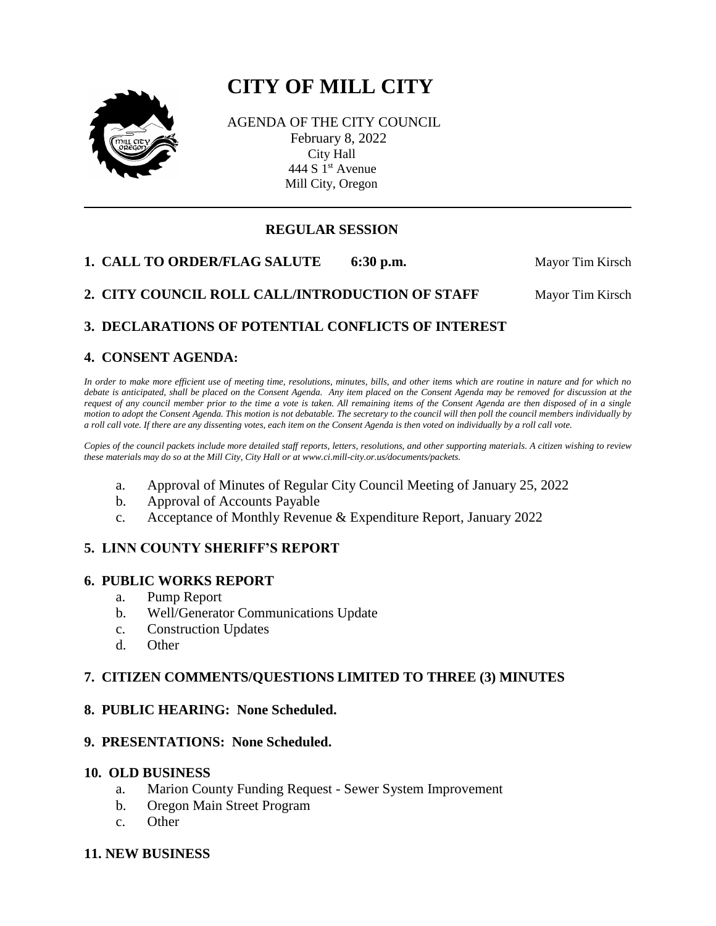# **CITY OF MILL CITY**



AGENDA OF THE CITY COUNCIL February 8, 2022 City Hall 444 S  $1<sup>st</sup>$  Avenue Mill City, Oregon

# **REGULAR SESSION**

**1. CALL TO ORDER/FLAG SALUTE** 6:30 p.m. Mayor Tim Kirsch

2. CITY COUNCIL ROLL CALL/INTRODUCTION OF STAFF Mayor Tim Kirsch

# **3. DECLARATIONS OF POTENTIAL CONFLICTS OF INTEREST**

# **4. CONSENT AGENDA:**

*In order to make more efficient use of meeting time, resolutions, minutes, bills, and other items which are routine in nature and for which no debate is anticipated, shall be placed on the Consent Agenda. Any item placed on the Consent Agenda may be removed for discussion at the request of any council member prior to the time a vote is taken. All remaining items of the Consent Agenda are then disposed of in a single motion to adopt the Consent Agenda. This motion is not debatable. The secretary to the council will then poll the council members individually by a roll call vote. If there are any dissenting votes, each item on the Consent Agenda is then voted on individually by a roll call vote.*

*Copies of the council packets include more detailed staff reports, letters, resolutions, and other supporting materials. A citizen wishing to review these materials may do so at the Mill City, City Hall or at www.ci.mill-city.or.us/documents/packets.*

- a. Approval of Minutes of Regular City Council Meeting of January 25, 2022
- b. Approval of Accounts Payable
- c. Acceptance of Monthly Revenue & Expenditure Report, January 2022

## **5. LINN COUNTY SHERIFF'S REPORT**

## **6. PUBLIC WORKS REPORT**

- a. Pump Report
- b. Well/Generator Communications Update
- c. Construction Updates
- d. Other

## **7. CITIZEN COMMENTS/QUESTIONS LIMITED TO THREE (3) MINUTES**

## **8. PUBLIC HEARING: None Scheduled.**

## **9. PRESENTATIONS: None Scheduled.**

#### **10. OLD BUSINESS**

- a. Marion County Funding Request Sewer System Improvement
- b. Oregon Main Street Program
- c. Other

#### **11. NEW BUSINESS**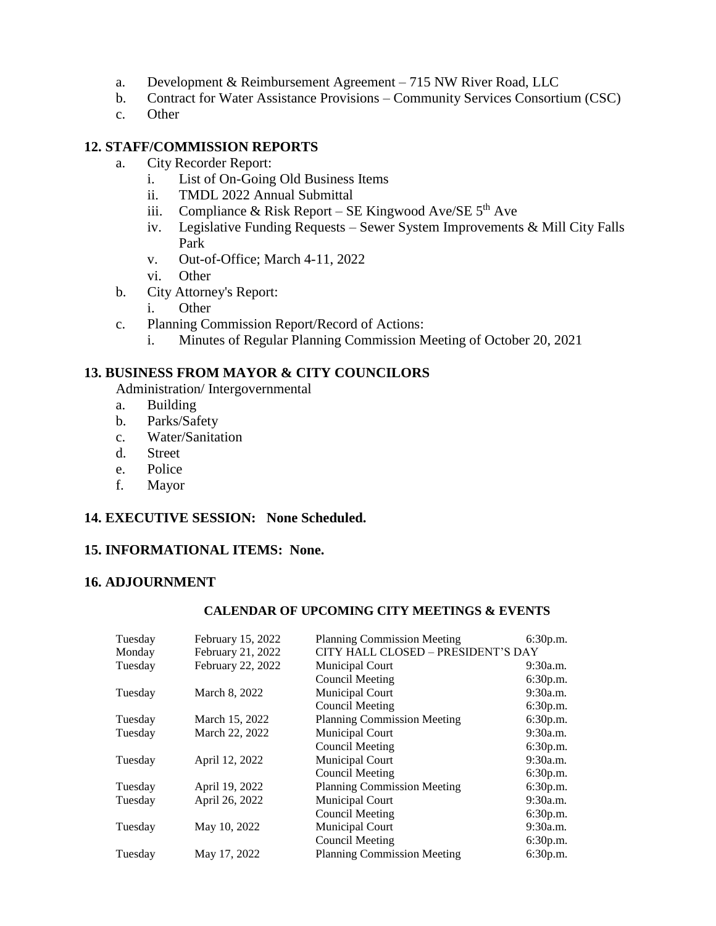- a. Development & Reimbursement Agreement 715 NW River Road, LLC
- b. Contract for Water Assistance Provisions Community Services Consortium (CSC)
- c. Other

## **12. STAFF/COMMISSION REPORTS**

- a. City Recorder Report:
	- i. List of On-Going Old Business Items
	- ii. TMDL 2022 Annual Submittal
	- iii. Compliance & Risk Report SE Kingwood Ave/SE  $5<sup>th</sup>$  Ave
	- iv. Legislative Funding Requests Sewer System Improvements & Mill City Falls Park
	- v. Out-of-Office; March 4-11, 2022
	- vi. Other
- b. City Attorney's Report:
	- i. Other
- c. Planning Commission Report/Record of Actions:
	- i. Minutes of Regular Planning Commission Meeting of October 20, 2021

## **13. BUSINESS FROM MAYOR & CITY COUNCILORS**

Administration/ Intergovernmental

- a. Building
- b. Parks/Safety
- c. Water/Sanitation
- d. Street
- e. Police
- f. Mayor

## **14. EXECUTIVE SESSION: None Scheduled.**

## **15. INFORMATIONAL ITEMS: None.**

## **16. ADJOURNMENT**

## **CALENDAR OF UPCOMING CITY MEETINGS & EVENTS**

| Tuesday | February 15, 2022 | <b>Planning Commission Meeting</b> | 6:30p.m. |
|---------|-------------------|------------------------------------|----------|
| Monday  | February 21, 2022 | CITY HALL CLOSED - PRESIDENT'S DAY |          |
| Tuesday | February 22, 2022 | <b>Municipal Court</b>             | 9:30a.m. |
|         |                   | <b>Council Meeting</b>             | 6:30p.m. |
| Tuesday | March 8, 2022     | Municipal Court                    | 9:30a.m. |
|         |                   | Council Meeting                    | 6:30p.m. |
| Tuesday | March 15, 2022    | <b>Planning Commission Meeting</b> | 6:30p.m. |
| Tuesday | March 22, 2022    | <b>Municipal Court</b>             | 9:30a.m. |
|         |                   | Council Meeting                    | 6:30p.m. |
| Tuesday | April 12, 2022    | Municipal Court                    | 9:30a.m. |
|         |                   | <b>Council Meeting</b>             | 6:30p.m. |
| Tuesday | April 19, 2022    | <b>Planning Commission Meeting</b> | 6:30p.m. |
| Tuesday | April 26, 2022    | Municipal Court                    | 9:30a.m. |
|         |                   | <b>Council Meeting</b>             | 6:30p.m. |
| Tuesday | May 10, 2022      | Municipal Court                    | 9:30a.m. |
|         |                   | Council Meeting                    | 6:30p.m. |
| Tuesday | May 17, 2022      | <b>Planning Commission Meeting</b> | 6:30p.m. |